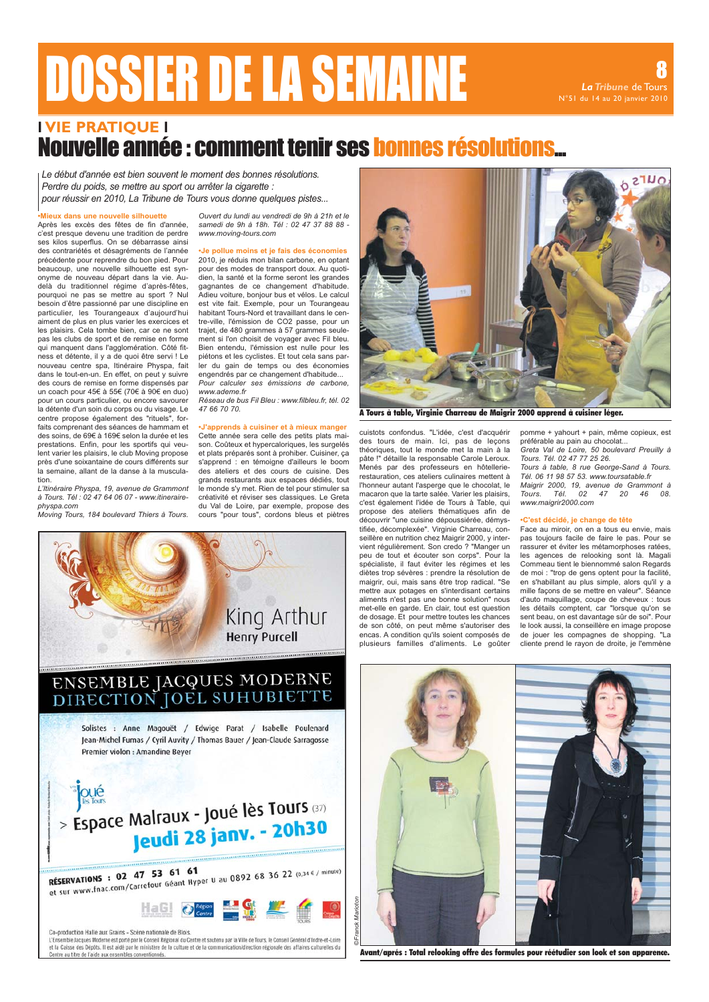# **DOSSIER DE LA SEMAINE**

La Tribune de Tours

### **I VIE PRATIQUE I** Nouvelle année : comment tenir ses bonnes résolutions...

Le début d'année est bien souvent le moment des bonnes résolutions. Perdre du poids, se mettre au sport ou arrêter la cigarette . pour réussir en 2010. La Tribune de Tours vous donne quelques pistes...

#### lieux dans une nouvelle silhouette

Après les excès des fêtes de fin d'année. c'est presque devenu une tradition de perdre ses kilos superflus. On se débarrasse ainsi<br>des contrariétés et désagréments de l'année précédente pour reprendre du bon pied. Pour beaucoup, une nouvelle silhouette est synonyme de nouveau départ dans la vie. Audelà du traditionnel régime d'après-fêtes, pourquoi ne pas se mettre au sport ? Nul besoin d'être passionné par une discipline en particulier, les Tourangeaux d'aujourd'hui aiment de plus en plus varier les exercices et les plaisirs. Cela tombe bien, car ce ne sont pas les clubs de sport et de remise en forme qui manquent dans l'agglomération. Côté fitness et détente, il y a de quoi être servi ! Le nouveau centre spa, Itinéraire Physpa, fait<br>dans le tout-en-un. En effet, on peut y suivre des cours de remise en forme dispensés par un coach pour 45€ à 55€ (70€ à 90€ en duo) pour un cours particulier, ou encore savourer la détente d'un soin du corps ou du visage. Le centre propose également des "rituels", forfaits comprenant des séances de hammam et des soins, de 69€ à 169€ selon la durée et les prestations. Enfin, pour les sportifs qui veulent varier les plaisirs, le club Moving propose près d'une soixantaine de cours différents sur la semaine, allant de la danse à la muscula $tion$ 

L'Itinéraire Physpa, 19, avenue de Grammont à Tours. Tél : 02 47 64 06 07 - www.itineraire $physpa$  com

priyspa.com<br>Moving Tours, 184 boulevard Thiers à Tours.

Ouvert du lundi au vendredi de 9h à 21h et le samedi de 9h à 18h. Tél : 02 47 37 88 88 www.moving-tours.com

le pollue moins et ie fais des économies 2010, je réduis mon bilan carbone, en optant pour des modes de transport doux. Au quotidien, la santé et la forme seront les grandes gagnantes de ce changement d'habitude. Adieu voiture, bonjour bus et vélos. Le calcul est vite fait. Exemple, pour un Tourangeau habitant Tours-Nord of travaillant dans lo contre-ville. l'émission de CO2 passe, pour un trajet, de 480 grammes à 57 grammes seulement si l'on choisit de voyager avec Fil bleu. Bien entendu, l'émission est nulle pour les piétons et les cyclistes. Et tout cela sans parler du gain de temps ou des économies<br>engendrés par ce changement d'habitude... Pour calculer ses émissions de carbone. www.ademe.fr

Réseau de bus Fil Bleu : www.filbleu.fr, tél. 02 47 66 70 70

pprends à cuisiner et à mieux manqe Cette année sera celle des petits plats maison. Coûteux et hypercaloriques, les surgelés et plats préparés sont à prohiber. Cuisiner, ça s'apprend : en témoigne d'ailleurs le boom des ateliers et des cours de cuisine. Des grands restaurants aux espaces dédiés, tout le monde s'y met. Rien de tel pour stimuler sa créativité et réviser ses classiques. Le Greta du Val de Loire, par exemple, propose des cours "pour tous", cordons bleus et piètres





A Tours à table, Virainie Charreau de Maiarir 2000 apprend à cuisiner léaer.

cuistots confondus. "L'idée, c'est d'acquérir<br>des tours de main. Ici, pas de leçons théoriques, tout le monde met la main à la pâte !" détaille la responsable Carole Leroux. Menés par des professeurs en hôtellerierestauration, ces ateliers culinaires mettent à l'honneur autant l'asperge que le chocolat, le macaron que la tarte salée. Varier les plaisirs, c'est également l'idée de Tours à Table, qui propose des ateliers thématiques afin de découvrir "une cuisine dépoussiérée, démystifiée, décomplexée". Virginie Charreau, conseillère en nutrition chez Maigrir 2000, y intervient régulièrement. Son credo ? "Manger un peu de tout et écouter son corps". Pour la spécialiste, il faut éviter les régimes et les diètes trop sévères : prendre la résolution de maigrir, oui, mais sans être trop radical. "Se manging can be also the problem of aliments n'est pas une bonne solution" nous met-elle en garde. En clair, tout est question de dosage. Et pour mettre toutes les chances de son côté, on peut même s'autoriser des encas. A condition qu'ils soient composés de plusieurs familles d'aliments. Le goûter

pomme + yahourt + pain, même copieux, est préférable au pain au chocolat.

Greta Val de Loire, 50 boulevard Preuilly à<br>Tours. Tél. 02 47 77 25 26. Tours à table, 8 rue George-Sand à Tours. Tél. 06 11 98 57 53. www.toursatable.fr Maigrir 2000, 19, avenue de Grammont à Tours. Tél.  $02$ 47 20 46 08 www.maigrir2000.com

#### •C'est décidé, je change de tête

Face au miroir, on en a tous eu envie, mais pas toujours facile de faire le pas. Pour se rassurer et éviter les métamorphoses ratées, les agences de relooking sont là. Magali<br>Commeau tient le biennommé salon Regards de moi : "trop de gens optent pour la facilité, en s'habillant au plus simple, alors qu'il y a mille façons de se mettre en valeur". Séance d'auto maquillage, coupe de cheveux : tous<br>les détails comptent, car "lorsque qu'on se sent beau, on est davantage sûr de soi". Pour le look aussi, la conseillère en image propose de jouer les compagnes de shopping. cliente prend le rayon de droite, je l'emmène



Avant/aprés : Total relooking offre des formules pour réétudier son look et son apparence.